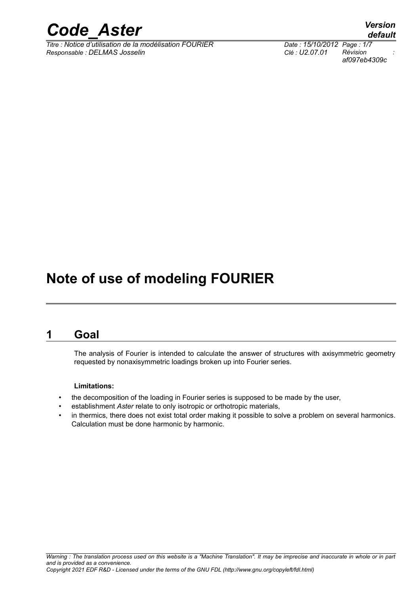

*Titre : Notice d'utilisation de la modélisation FOURIER Date : 15/10/2012 Page : 1/7*  $Responsible : DELMAS Josselin$ 

*af097eb4309c*

### **Note of use of modeling FOURIER**

#### **1 Goal**

The analysis of Fourier is intended to calculate the answer of structures with axisymmetric geometry requested by nonaxisymmetric loadings broken up into Fourier series.

#### **Limitations:**

- the decomposition of the loading in Fourier series is supposed to be made by the user,
- establishment *Aster* relate to only isotropic or orthotropic materials,
- in thermics, there does not exist total order making it possible to solve a problem on several harmonics. Calculation must be done harmonic by harmonic.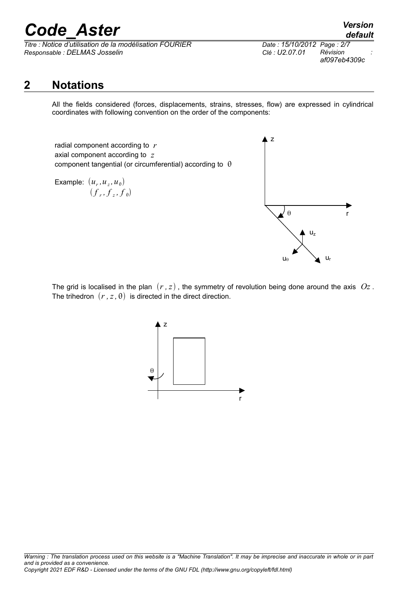*Titre : Notice d'utilisation de la modélisation FOURIER Date : 15/10/2012 Page : 2/7 Responsable : DELMAS Josselin Clé : U2.07.01 Révision :*

*af097eb4309c*

### **2 Notations**

All the fields considered (forces, displacements, strains, stresses, flow) are expressed in cylindrical coordinates with following convention on the order of the components:

radial component according to *r* axial component according to *z* component tangential (or circumferential) according to  $\theta$ 

Example:  $(u_r, u_z, u_\theta)$  $(f, f, f, f)$ 



The grid is localised in the plan  $(r, z)$ , the symmetry of revolution being done around the axis  $Oz$ . The trihedron  $(r, z, \theta)$  is directed in the direct direction.

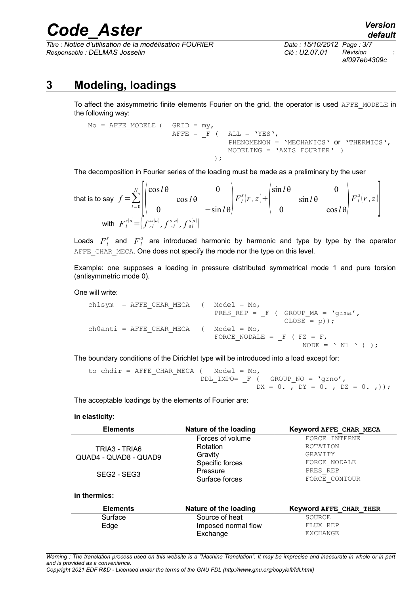*Titre : Notice d'utilisation de la modélisation FOURIER Date : 15/10/2012 Page : 3/7 Responsable : DELMAS Josselin Clé : U2.07.01 Révision :*

# *af097eb4309c*

### **3 Modeling, loadings**

To affect the axisymmetric finite elements Fourier on the grid, the operator is used AFFE\_MODELE in the following way:

Mo = AFFE\_MODELE (  $GRID = my$ , AFFE =  $F$  ( ALL = 'YES', PHENOMENON = 'MECHANICS' or 'THERMICS', MODELING = 'AXIS\_FOURIER' ) );

The decomposition in Fourier series of the loading must be made as a preliminary by the user

that is to say 
$$
f = \sum_{l=0}^{N} \left[ \begin{pmatrix} \cos l\theta & 0 \\ 0 & \cos l\theta & -\sin l\theta \end{pmatrix} F_l^s(r, z) + \begin{pmatrix} \sin l\theta & 0 \\ 0 & \sin l\theta & \cos l\theta \end{pmatrix} F_l^a(r, z) \right]
$$
  
with  $F_l^{s[a]} = (f_{rl}^{ss[a]}, f_{rl}^{s[a]}, f_{\theta l}^{s[a]})$ 

Loads  $F_l^s$  and  $F_l^a$  are introduced harmonic by harmonic and type by type by the operator AFFE\_CHAR\_MECA. One does not specify the mode nor the type on this level.

Example: one supposes a loading in pressure distributed symmetrical mode 1 and pure torsion (antisymmetric mode 0).

One will write:

ch1sym = AFFE CHAR MECA ( Model = Mo, PRES REP =  $F$  ( GROUP MA = 'grma',  $CLOSE = p)$ ; ch0anti = AFFE CHAR MECA ( Model = Mo, FORCE\_NODALE =  $_F$  ( FZ = F, NODE =  $'$  N1 ' ) );

The boundary conditions of the Dirichlet type will be introduced into a load except for:

```
to chdir = AFFE CHAR MECA ( Model = Mo,
             DDL_IMPO= _F ( GROUP_NO = 'grno',
                         DX = 0., DY = 0., DZ = 0., );
```
The acceptable loadings by the elements of Fourier are:

#### **in elasticity:**

| <b>Elements</b>                        | Nature of the loading | Keyword AFFE CHAR MECA |
|----------------------------------------|-----------------------|------------------------|
| TRIA3 - TRIA6<br>QUAD4 - QUAD8 - QUAD9 | Forces of volume      | FORCE INTERNE          |
|                                        | Rotation              | ROTATION               |
|                                        | Gravity               | GRAVITY                |
|                                        | Specific forces       | FORCE NODALE           |
| SEG2 - SEG3                            | Pressure              | PRES REP               |
|                                        | Surface forces        | FORCE CONTOUR          |
| in thermics:                           |                       |                        |
| <b>Elements</b>                        | Nature of the loading | Keyword AFFE CHAR THER |
| Surface                                | Source of heat        | SOURCE                 |
| Edge                                   | Imposed normal flow   | FLUX REP               |
|                                        | Exchange              | <b>EXCHANGE</b>        |

*Warning : The translation process used on this website is a "Machine Translation". It may be imprecise and inaccurate in whole or in part and is provided as a convenience.*

*Copyright 2021 EDF R&D - Licensed under the terms of the GNU FDL (http://www.gnu.org/copyleft/fdl.html)*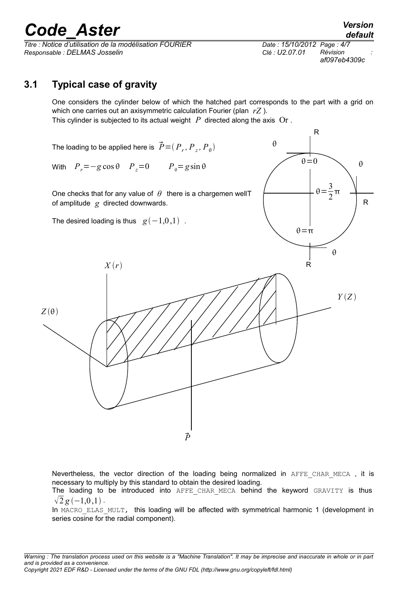*Titre : Notice d'utilisation de la modélisation FOURIER Date : 15/10/2012 Page : 4/7 Responsable : DELMAS Josselin Clé : U2.07.01 Révision :*

*af097eb4309c*

#### **3.1 Typical case of gravity**

One considers the cylinder below of which the hatched part corresponds to the part with a grid on which one carries out an axisymmetric calculation Fourier (plan *rZ* ). This cylinder is subjected to its actual weight *P* directed along the axis Or .



Nevertheless, the vector direction of the loading being normalized in AFFE CHAR MECA, it is necessary to multiply by this standard to obtain the desired loading.

The loading to be introduced into AFFE CHAR MECA behind the keyword GRAVITY is thus  $\sqrt{2} g (-1, 0, 1)$ .

In MACRO ELAS MULT, this loading will be affected with symmetrical harmonic 1 (development in series cosine for the radial component).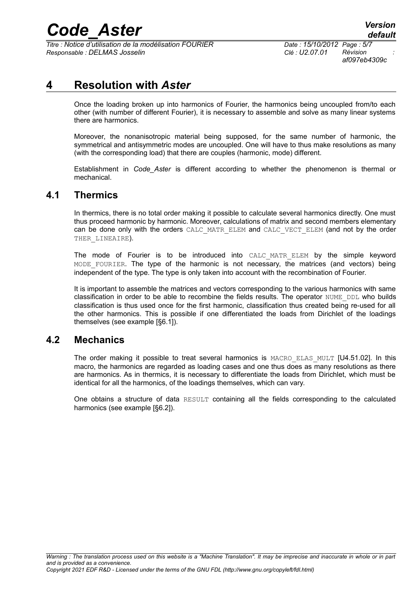*Titre : Notice d'utilisation de la modélisation FOURIER Date : 15/10/2012 Page : 5/7 Responsable : DELMAS Josselin Clé : U2.07.01 Révision :*

*af097eb4309c*

#### **4 Resolution with** *Aster*

Once the loading broken up into harmonics of Fourier, the harmonics being uncoupled from/to each other (with number of different Fourier), it is necessary to assemble and solve as many linear systems there are harmonics.

Moreover, the nonanisotropic material being supposed, for the same number of harmonic, the symmetrical and antisymmetric modes are uncoupled. One will have to thus make resolutions as many (with the corresponding load) that there are couples (harmonic, mode) different.

Establishment in *Code\_Aster* is different according to whether the phenomenon is thermal or mechanical.

#### **4.1 Thermics**

In thermics, there is no total order making it possible to calculate several harmonics directly. One must thus proceed harmonic by harmonic. Moreover, calculations of matrix and second members elementary can be done only with the orders CALC\_MATR\_ELEM and CALC\_VECT\_ELEM (and not by the order THER LINEAIRE).

The mode of Fourier is to be introduced into CALC\_MATR\_ELEM by the simple keyword MODE FOURIER. The type of the harmonic is not necessary, the matrices (and vectors) being independent of the type. The type is only taken into account with the recombination of Fourier.

It is important to assemble the matrices and vectors corresponding to the various harmonics with same classification in order to be able to recombine the fields results. The operator NUME\_DDL who builds classification is thus used once for the first harmonic, classification thus created being re-used for all the other harmonics. This is possible if one differentiated the loads from Dirichlet of the loadings themselves (see example [§6.1]).

#### **4.2 Mechanics**

The order making it possible to treat several harmonics is MACRO ELAS MULT [U4.51.02]. In this macro, the harmonics are regarded as loading cases and one thus does as many resolutions as there are harmonics. As in thermics, it is necessary to differentiate the loads from Dirichlet, which must be identical for all the harmonics, of the loadings themselves, which can vary.

One obtains a structure of data RESULT containing all the fields corresponding to the calculated harmonics (see example [§6.2]).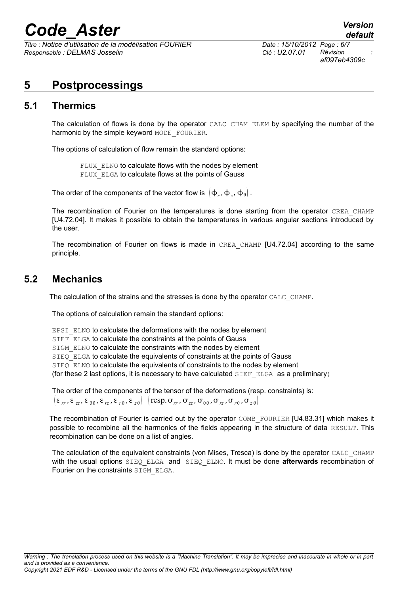*Titre : Notice d'utilisation de la modélisation FOURIER Date : 15/10/2012 Page : 6/7 Responsable : DELMAS Josselin Clé : U2.07.01 Révision :*

*af097eb4309c*

### **5 Postprocessings**

#### **5.1 Thermics**

The calculation of flows is done by the operator CALC\_CHAM\_ELEM by specifying the number of the harmonic by the simple keyword MODE FOURIER.

The options of calculation of flow remain the standard options:

FLUX ELNO to calculate flows with the nodes by element FLUX ELGA to calculate flows at the points of Gauss

The order of the components of the vector flow is  $\left(\Phi_r, \Phi_z, \Phi_\theta\right)$  .

The recombination of Fourier on the temperatures is done starting from the operator CREA\_CHAMP [U4.72.04]. It makes it possible to obtain the temperatures in various angular sections introduced by the user.

The recombination of Fourier on flows is made in CREA CHAMP [U4.72.04] according to the same principle.

#### **5.2 Mechanics**

The calculation of the strains and the stresses is done by the operator CALC\_CHAMP.

The options of calculation remain the standard options:

EPSI\_ELNO to calculate the deformations with the nodes by element SIEF ELGA to calculate the constraints at the points of Gauss SIGM\_ELNO to calculate the constraints with the nodes by element SIEQ ELGA to calculate the equivalents of constraints at the points of Gauss SIEQ ELNO to calculate the equivalents of constraints to the nodes by element (for these 2 last options, it is necessary to have calculated  $SIEF$  ELGA as a preliminary)

The order of the components of the tensor of the deformations (resp. constraints) is:  $\left(\epsilon_{rr}, \epsilon_{zz}, \epsilon_{\theta\theta}, \epsilon_{rz}, \epsilon_{r\theta}, \epsilon_{z\theta}\right)$   $\left(\text{resp. }\sigma_{rr}, \sigma_{zz}, \sigma_{\theta\theta}, \sigma_{rz}, \sigma_{r\theta}, \sigma_{z\theta}\right)$ 

The recombination of Fourier is carried out by the operator COMB\_FOURIER [U4.83.31] which makes it possible to recombine all the harmonics of the fields appearing in the structure of data RESULT. This recombination can be done on a list of angles.

The calculation of the equivalent constraints (von Mises, Tresca) is done by the operator CALC\_CHAMP with the usual options SIEQ ELGA and SIEQ ELNO. It must be done afterwards recombination of Fourier on the constraints SIGM\_ELGA.